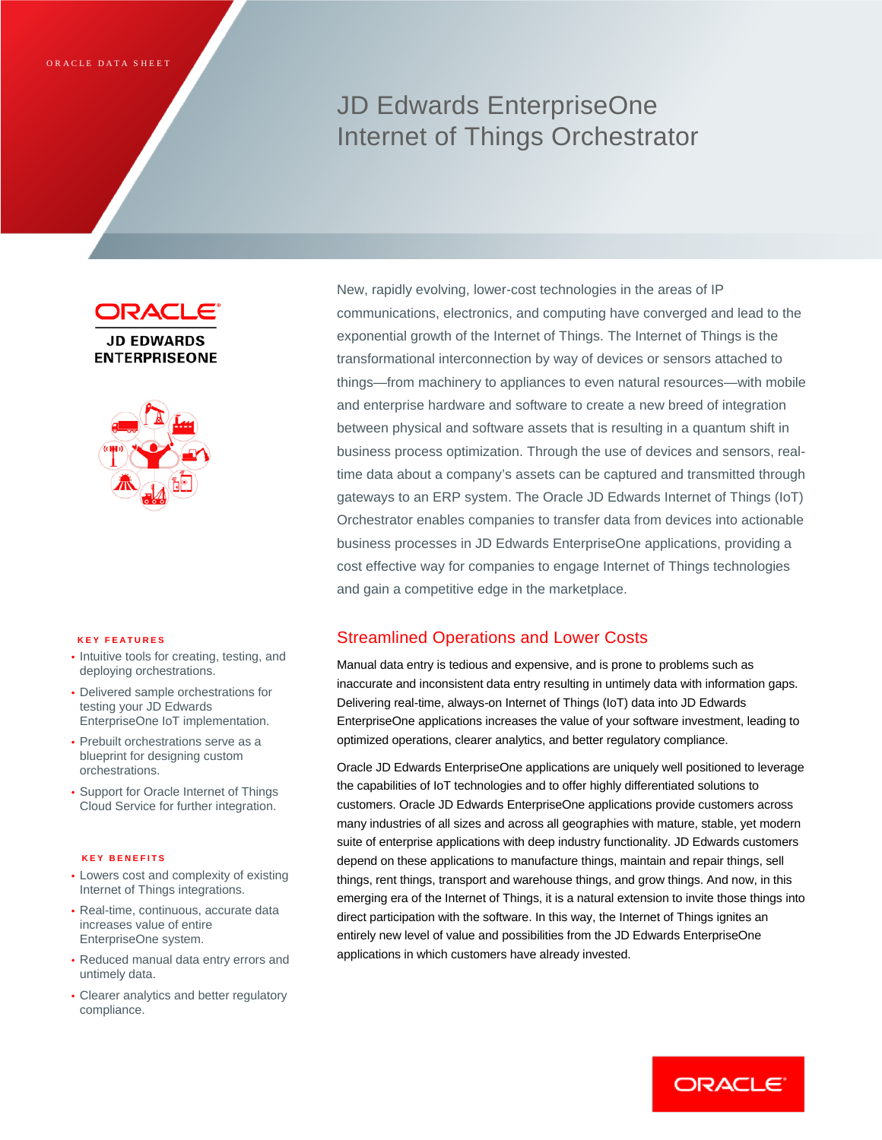# JD Edwards EnterpriseOne Internet of Things Orchestrator

IRACI

**JD EDWARDS ENTERPRISEONE** 



#### **KEY FEATURES**

- Intuitive tools for creating, testing, and deploying orchestrations.
- Delivered sample orchestrations for testing your JD Edwards EnterpriseOne IoT implementation.
- Prebuilt orchestrations serve as a blueprint for designing custom orchestrations.
- Support for Oracle Internet of Things Cloud Service for further integration.

#### **KEY BENEFITS**

- Lowers cost and complexity of existing Internet of Things integrations.
- Real-time, continuous, accurate data increases value of entire EnterpriseOne system.
- Reduced manual data entry errors and untimely data.
- Clearer analytics and better regulatory compliance.

New, rapidly evolving, lower-cost technologies in the areas of IP communications, electronics, and computing have converged and lead to the exponential growth of the Internet of Things. The Internet of Things is the transformational interconnection by way of devices or sensors attached to things—from machinery to appliances to even natural resources—with mobile and enterprise hardware and software to create a new breed of integration between physical and software assets that is resulting in a quantum shift in business process optimization. Through the use of devices and sensors, realtime data about a company's assets can be captured and transmitted through gateways to an ERP system. The Oracle JD Edwards Internet of Things (IoT) Orchestrator enables companies to transfer data from devices into actionable business processes in JD Edwards EnterpriseOne applications, providing a cost effective way for companies to engage Internet of Things technologies and gain a competitive edge in the marketplace.

# Streamlined Operations and Lower Costs

Manual data entry is tedious and expensive, and is prone to problems such as inaccurate and inconsistent data entry resulting in untimely data with information gaps. Delivering real-time, always-on Internet of Things (IoT) data into JD Edwards EnterpriseOne applications increases the value of your software investment, leading to optimized operations, clearer analytics, and better regulatory compliance.

Oracle JD Edwards EnterpriseOne applications are uniquely well positioned to leverage the capabilities of IoT technologies and to offer highly differentiated solutions to customers. Oracle JD Edwards EnterpriseOne applications provide customers across many industries of all sizes and across all geographies with mature, stable, yet modern suite of enterprise applications with deep industry functionality. JD Edwards customers depend on these applications to manufacture things, maintain and repair things, sell things, rent things, transport and warehouse things, and grow things. And now, in this emerging era of the Internet of Things, it is a natural extension to invite those things into direct participation with the software. In this way, the Internet of Things ignites an entirely new level of value and possibilities from the JD Edwards EnterpriseOne applications in which customers have already invested.

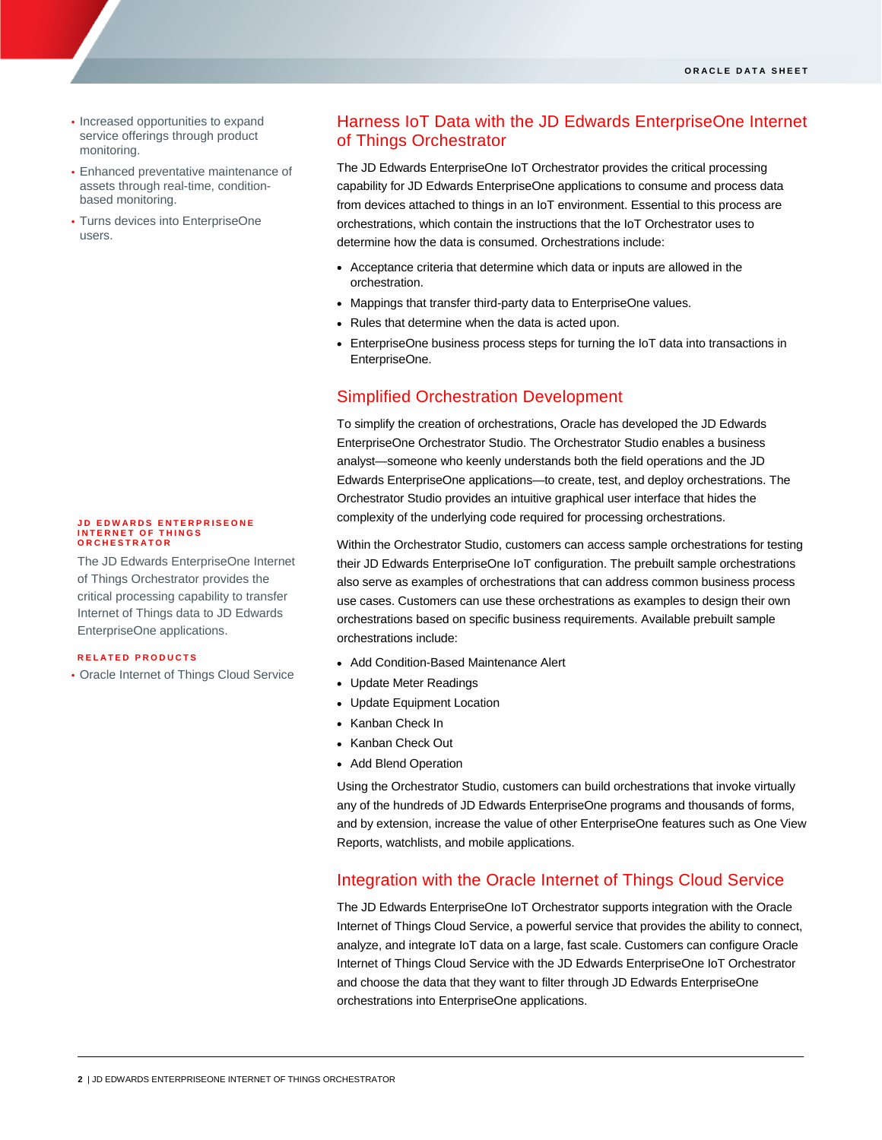- Increased opportunities to expand service offerings through product monitoring.
- Enhanced preventative maintenance of assets through real-time, conditionbased monitoring.
- Turns devices into EnterpriseOne users.

### **JD EDWARDS ENTERPRIS EONE INTERNET OF THINGS ORCHESTRATOR**

The JD Edwards EnterpriseOne Internet of Things Orchestrator provides the critical processing capability to transfer Internet of Things data to JD Edwards EnterpriseOne applications.

### **RELATED PRODUCTS**

• Oracle Internet of Things Cloud Service

# Harness IoT Data with the JD Edwards EnterpriseOne Internet of Things Orchestrator

The JD Edwards EnterpriseOne IoT Orchestrator provides the critical processing capability for JD Edwards EnterpriseOne applications to consume and process data from devices attached to things in an IoT environment. Essential to this process are orchestrations, which contain the instructions that the IoT Orchestrator uses to determine how the data is consumed. Orchestrations include:

- Acceptance criteria that determine which data or inputs are allowed in the orchestration.
- Mappings that transfer third-party data to EnterpriseOne values.
- Rules that determine when the data is acted upon.
- EnterpriseOne business process steps for turning the IoT data into transactions in EnterpriseOne.

## Simplified Orchestration Development

To simplify the creation of orchestrations, Oracle has developed the JD Edwards EnterpriseOne Orchestrator Studio. The Orchestrator Studio enables a business analyst—someone who keenly understands both the field operations and the JD Edwards EnterpriseOne applications—to create, test, and deploy orchestrations. The Orchestrator Studio provides an intuitive graphical user interface that hides the complexity of the underlying code required for processing orchestrations.

Within the Orchestrator Studio, customers can access sample orchestrations for testing their JD Edwards EnterpriseOne IoT configuration. The prebuilt sample orchestrations also serve as examples of orchestrations that can address common business process use cases. Customers can use these orchestrations as examples to design their own orchestrations based on specific business requirements. Available prebuilt sample orchestrations include:

- Add Condition-Based Maintenance Alert
- Update Meter Readings
- Update Equipment Location
- Kanban Check In
- Kanban Check Out
- Add Blend Operation

Using the Orchestrator Studio, customers can build orchestrations that invoke virtually any of the hundreds of JD Edwards EnterpriseOne programs and thousands of forms, and by extension, increase the value of other EnterpriseOne features such as One View Reports, watchlists, and mobile applications.

### Integration with the Oracle Internet of Things Cloud Service

The JD Edwards EnterpriseOne IoT Orchestrator supports integration with the Oracle Internet of Things Cloud Service, a powerful service that provides the ability to connect, analyze, and integrate IoT data on a large, fast scale. Customers can configure Oracle Internet of Things Cloud Service with the JD Edwards EnterpriseOne IoT Orchestrator and choose the data that they want to filter through JD Edwards EnterpriseOne orchestrations into EnterpriseOne applications.